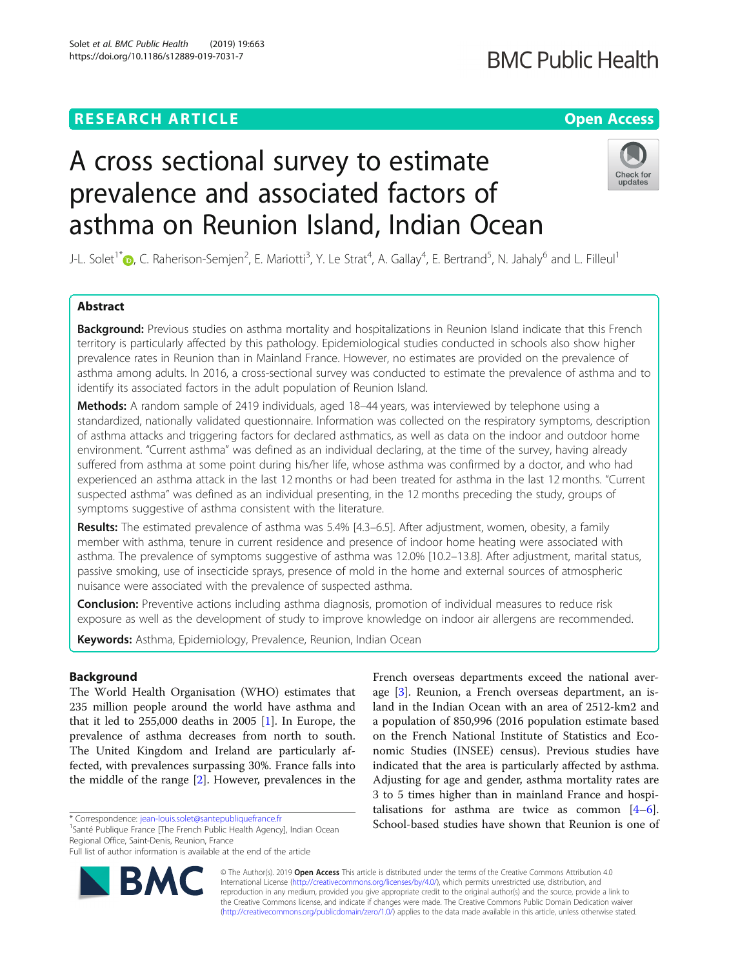# **RESEARCH ARTICLE Example 2018 12:30 THE Open Access**

# A cross sectional survey to estimate prevalence and associated factors of asthma on Reunion Island, Indian Ocean



J-L. Solet<sup>1[\\*](http://orcid.org/0000-0002-8309-8861)</sup>�, C. Raherison-Semjen<sup>2</sup>, E. Mariotti<sup>3</sup>, Y. Le Strat<sup>4</sup>, A. Gallay<sup>4</sup>, E. Bertrand<sup>5</sup>, N. Jahaly<sup>6</sup> and L. Filleul<sup>1</sup>

# Abstract

Background: Previous studies on asthma mortality and hospitalizations in Reunion Island indicate that this French territory is particularly affected by this pathology. Epidemiological studies conducted in schools also show higher prevalence rates in Reunion than in Mainland France. However, no estimates are provided on the prevalence of asthma among adults. In 2016, a cross-sectional survey was conducted to estimate the prevalence of asthma and to identify its associated factors in the adult population of Reunion Island.

Methods: A random sample of 2419 individuals, aged 18-44 years, was interviewed by telephone using a standardized, nationally validated questionnaire. Information was collected on the respiratory symptoms, description of asthma attacks and triggering factors for declared asthmatics, as well as data on the indoor and outdoor home environment. "Current asthma" was defined as an individual declaring, at the time of the survey, having already suffered from asthma at some point during his/her life, whose asthma was confirmed by a doctor, and who had experienced an asthma attack in the last 12 months or had been treated for asthma in the last 12 months. "Current suspected asthma" was defined as an individual presenting, in the 12 months preceding the study, groups of symptoms suggestive of asthma consistent with the literature.

Results: The estimated prevalence of asthma was 5.4% [4.3–6.5]. After adjustment, women, obesity, a family member with asthma, tenure in current residence and presence of indoor home heating were associated with asthma. The prevalence of symptoms suggestive of asthma was 12.0% [10.2–13.8]. After adjustment, marital status, passive smoking, use of insecticide sprays, presence of mold in the home and external sources of atmospheric nuisance were associated with the prevalence of suspected asthma.

**Conclusion:** Preventive actions including asthma diagnosis, promotion of individual measures to reduce risk exposure as well as the development of study to improve knowledge on indoor air allergens are recommended.

Keywords: Asthma, Epidemiology, Prevalence, Reunion, Indian Ocean

# Background

The World Health Organisation (WHO) estimates that 235 million people around the world have asthma and that it led to  $255,000$  deaths in  $2005$  [[1](#page-7-0)]. In Europe, the prevalence of asthma decreases from north to south. The United Kingdom and Ireland are particularly affected, with prevalences surpassing 30%. France falls into the middle of the range [[2\]](#page-7-0). However, prevalences in the

<sup>1</sup>Santé Publique France [The French Public Health Agency], Indian Ocean Regional Office, Saint-Denis, Reunion, France

Full list of author information is available at the end of the article



French overseas departments exceed the national average [[3\]](#page-7-0). Reunion, a French overseas department, an island in the Indian Ocean with an area of 2512-km2 and a population of 850,996 (2016 population estimate based on the French National Institute of Statistics and Economic Studies (INSEE) census). Previous studies have indicated that the area is particularly affected by asthma. Adjusting for age and gender, asthma mortality rates are 3 to 5 times higher than in mainland France and hospitalisations for asthma are twice as common  $[4-6]$  $[4-6]$  $[4-6]$  $[4-6]$ . School-based studies have shown that Reunion is one of

© The Author(s). 2019 **Open Access** This article is distributed under the terms of the Creative Commons Attribution 4.0 International License [\(http://creativecommons.org/licenses/by/4.0/](http://creativecommons.org/licenses/by/4.0/)), which permits unrestricted use, distribution, and reproduction in any medium, provided you give appropriate credit to the original author(s) and the source, provide a link to the Creative Commons license, and indicate if changes were made. The Creative Commons Public Domain Dedication waiver [\(http://creativecommons.org/publicdomain/zero/1.0/](http://creativecommons.org/publicdomain/zero/1.0/)) applies to the data made available in this article, unless otherwise stated.

<sup>\*</sup> Correspondence: [jean-louis.solet@santepubliquefrance.fr](mailto:jean-louis.solet@santepubliquefrance.fr) <sup>1</sup>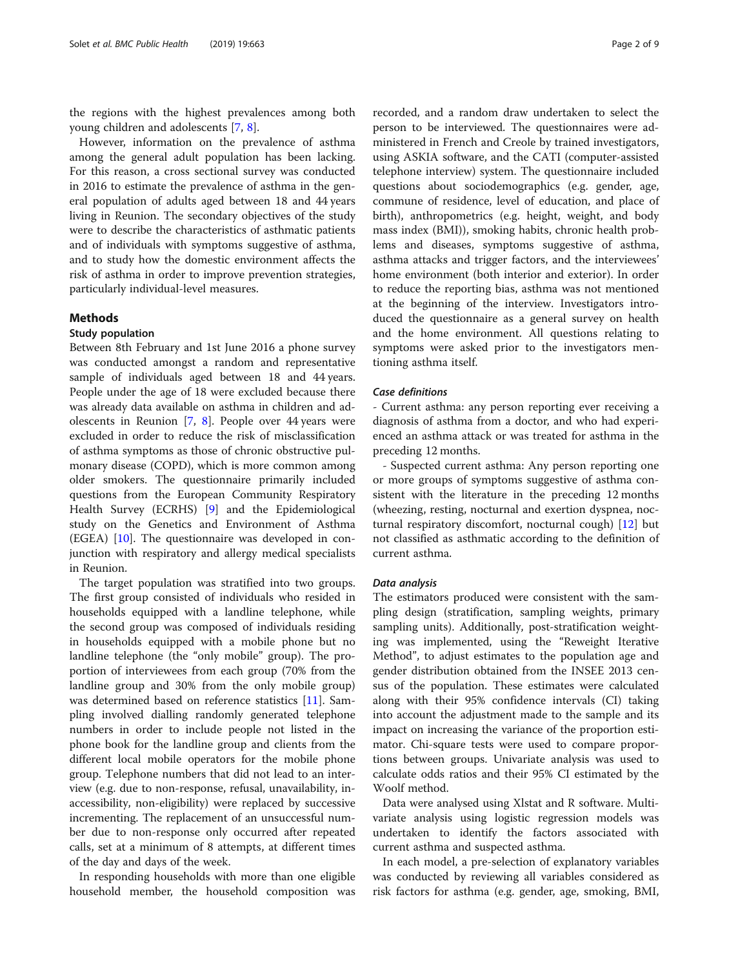the regions with the highest prevalences among both young children and adolescents [[7,](#page-7-0) [8\]](#page-7-0).

However, information on the prevalence of asthma among the general adult population has been lacking. For this reason, a cross sectional survey was conducted in 2016 to estimate the prevalence of asthma in the general population of adults aged between 18 and 44 years living in Reunion. The secondary objectives of the study were to describe the characteristics of asthmatic patients and of individuals with symptoms suggestive of asthma, and to study how the domestic environment affects the risk of asthma in order to improve prevention strategies, particularly individual-level measures.

## Methods

# Study population

Between 8th February and 1st June 2016 a phone survey was conducted amongst a random and representative sample of individuals aged between 18 and 44 years. People under the age of 18 were excluded because there was already data available on asthma in children and adolescents in Reunion [\[7](#page-7-0), [8\]](#page-7-0). People over 44 years were excluded in order to reduce the risk of misclassification of asthma symptoms as those of chronic obstructive pulmonary disease (COPD), which is more common among older smokers. The questionnaire primarily included questions from the European Community Respiratory Health Survey (ECRHS) [[9\]](#page-7-0) and the Epidemiological study on the Genetics and Environment of Asthma (EGEA) [[10\]](#page-7-0). The questionnaire was developed in conjunction with respiratory and allergy medical specialists in Reunion.

The target population was stratified into two groups. The first group consisted of individuals who resided in households equipped with a landline telephone, while the second group was composed of individuals residing in households equipped with a mobile phone but no landline telephone (the "only mobile" group). The proportion of interviewees from each group (70% from the landline group and 30% from the only mobile group) was determined based on reference statistics [\[11](#page-7-0)]. Sampling involved dialling randomly generated telephone numbers in order to include people not listed in the phone book for the landline group and clients from the different local mobile operators for the mobile phone group. Telephone numbers that did not lead to an interview (e.g. due to non-response, refusal, unavailability, inaccessibility, non-eligibility) were replaced by successive incrementing. The replacement of an unsuccessful number due to non-response only occurred after repeated calls, set at a minimum of 8 attempts, at different times of the day and days of the week.

In responding households with more than one eligible household member, the household composition was

recorded, and a random draw undertaken to select the person to be interviewed. The questionnaires were administered in French and Creole by trained investigators, using ASKIA software, and the CATI (computer-assisted telephone interview) system. The questionnaire included questions about sociodemographics (e.g. gender, age, commune of residence, level of education, and place of birth), anthropometrics (e.g. height, weight, and body mass index (BMI)), smoking habits, chronic health problems and diseases, symptoms suggestive of asthma, asthma attacks and trigger factors, and the interviewees' home environment (both interior and exterior). In order to reduce the reporting bias, asthma was not mentioned at the beginning of the interview. Investigators introduced the questionnaire as a general survey on health and the home environment. All questions relating to symptoms were asked prior to the investigators mentioning asthma itself.

#### Case definitions

- Current asthma: any person reporting ever receiving a diagnosis of asthma from a doctor, and who had experienced an asthma attack or was treated for asthma in the preceding 12 months.

- Suspected current asthma: Any person reporting one or more groups of symptoms suggestive of asthma consistent with the literature in the preceding 12 months (wheezing, resting, nocturnal and exertion dyspnea, nocturnal respiratory discomfort, nocturnal cough) [\[12](#page-7-0)] but not classified as asthmatic according to the definition of current asthma.

#### Data analysis

The estimators produced were consistent with the sampling design (stratification, sampling weights, primary sampling units). Additionally, post-stratification weighting was implemented, using the "Reweight Iterative Method", to adjust estimates to the population age and gender distribution obtained from the INSEE 2013 census of the population. These estimates were calculated along with their 95% confidence intervals (CI) taking into account the adjustment made to the sample and its impact on increasing the variance of the proportion estimator. Chi-square tests were used to compare proportions between groups. Univariate analysis was used to calculate odds ratios and their 95% CI estimated by the Woolf method.

Data were analysed using Xlstat and R software. Multivariate analysis using logistic regression models was undertaken to identify the factors associated with current asthma and suspected asthma.

In each model, a pre-selection of explanatory variables was conducted by reviewing all variables considered as risk factors for asthma (e.g. gender, age, smoking, BMI,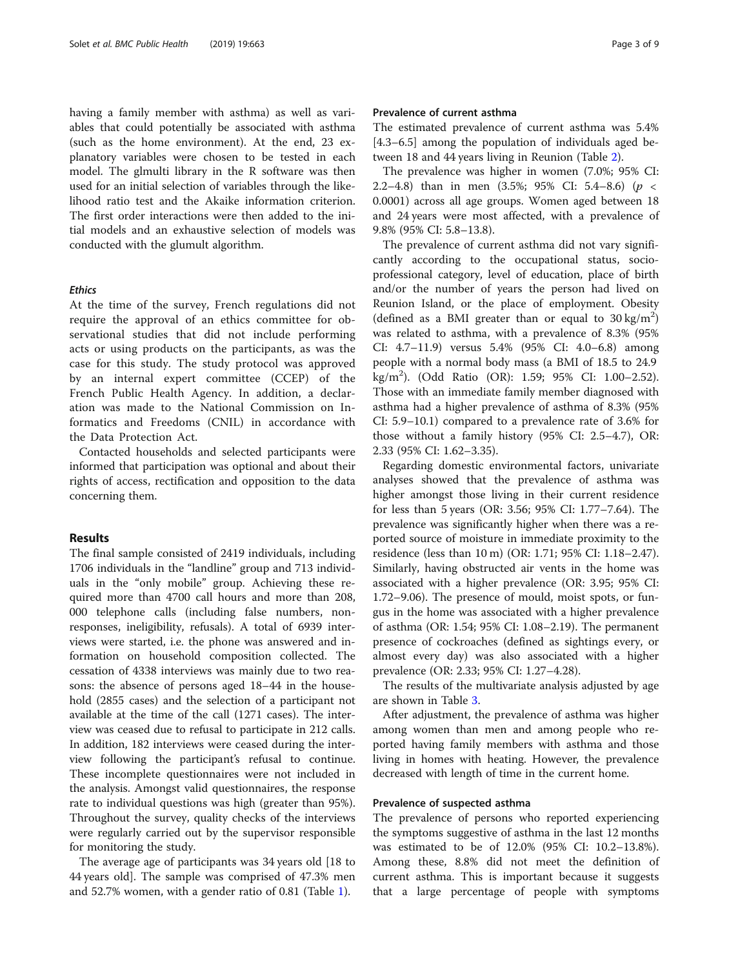having a family member with asthma) as well as variables that could potentially be associated with asthma (such as the home environment). At the end, 23 explanatory variables were chosen to be tested in each model. The glmulti library in the R software was then used for an initial selection of variables through the likelihood ratio test and the Akaike information criterion. The first order interactions were then added to the initial models and an exhaustive selection of models was conducted with the glumult algorithm.

#### **Ethics**

At the time of the survey, French regulations did not require the approval of an ethics committee for observational studies that did not include performing acts or using products on the participants, as was the case for this study. The study protocol was approved by an internal expert committee (CCEP) of the French Public Health Agency. In addition, a declaration was made to the National Commission on Informatics and Freedoms (CNIL) in accordance with the Data Protection Act.

Contacted households and selected participants were informed that participation was optional and about their rights of access, rectification and opposition to the data concerning them.

#### Results

The final sample consisted of 2419 individuals, including 1706 individuals in the "landline" group and 713 individuals in the "only mobile" group. Achieving these required more than 4700 call hours and more than 208, 000 telephone calls (including false numbers, nonresponses, ineligibility, refusals). A total of 6939 interviews were started, i.e. the phone was answered and information on household composition collected. The cessation of 4338 interviews was mainly due to two reasons: the absence of persons aged 18–44 in the household (2855 cases) and the selection of a participant not available at the time of the call (1271 cases). The interview was ceased due to refusal to participate in 212 calls. In addition, 182 interviews were ceased during the interview following the participant's refusal to continue. These incomplete questionnaires were not included in the analysis. Amongst valid questionnaires, the response rate to individual questions was high (greater than 95%). Throughout the survey, quality checks of the interviews were regularly carried out by the supervisor responsible for monitoring the study.

The average age of participants was 34 years old [18 to 44 years old]. The sample was comprised of 47.3% men and 52.7% women, with a gender ratio of 0.81 (Table [1](#page-3-0)).

### Prevalence of current asthma

The estimated prevalence of current asthma was 5.4% [4.3–6.5] among the population of individuals aged between 18 and 44 years living in Reunion (Table [2\)](#page-4-0).

The prevalence was higher in women (7.0%; 95% CI: 2.2–4.8) than in men (3.5%; 95% CI: 5.4–8.6) (p < 0.0001) across all age groups. Women aged between 18 and 24 years were most affected, with a prevalence of 9.8% (95% CI: 5.8–13.8).

The prevalence of current asthma did not vary significantly according to the occupational status, socioprofessional category, level of education, place of birth and/or the number of years the person had lived on Reunion Island, or the place of employment. Obesity (defined as a BMI greater than or equal to  $30 \text{ kg/m}^2$ ) was related to asthma, with a prevalence of 8.3% (95% CI: 4.7–11.9) versus 5.4% (95% CI: 4.0–6.8) among people with a normal body mass (a BMI of 18.5 to 24.9 kg/m<sup>2</sup> ). (Odd Ratio (OR): 1.59; 95% CI: 1.00–2.52). Those with an immediate family member diagnosed with asthma had a higher prevalence of asthma of 8.3% (95% CI: 5.9–10.1) compared to a prevalence rate of 3.6% for those without a family history (95% CI: 2.5–4.7), OR: 2.33 (95% CI: 1.62–3.35).

Regarding domestic environmental factors, univariate analyses showed that the prevalence of asthma was higher amongst those living in their current residence for less than 5 years (OR: 3.56; 95% CI: 1.77–7.64). The prevalence was significantly higher when there was a reported source of moisture in immediate proximity to the residence (less than 10 m) (OR: 1.71; 95% CI: 1.18–2.47). Similarly, having obstructed air vents in the home was associated with a higher prevalence (OR: 3.95; 95% CI: 1.72–9.06). The presence of mould, moist spots, or fungus in the home was associated with a higher prevalence of asthma (OR: 1.54; 95% CI: 1.08–2.19). The permanent presence of cockroaches (defined as sightings every, or almost every day) was also associated with a higher prevalence (OR: 2.33; 95% CI: 1.27–4.28).

The results of the multivariate analysis adjusted by age are shown in Table [3](#page-4-0).

After adjustment, the prevalence of asthma was higher among women than men and among people who reported having family members with asthma and those living in homes with heating. However, the prevalence decreased with length of time in the current home.

#### Prevalence of suspected asthma

The prevalence of persons who reported experiencing the symptoms suggestive of asthma in the last 12 months was estimated to be of 12.0% (95% CI: 10.2–13.8%). Among these, 8.8% did not meet the definition of current asthma. This is important because it suggests that a large percentage of people with symptoms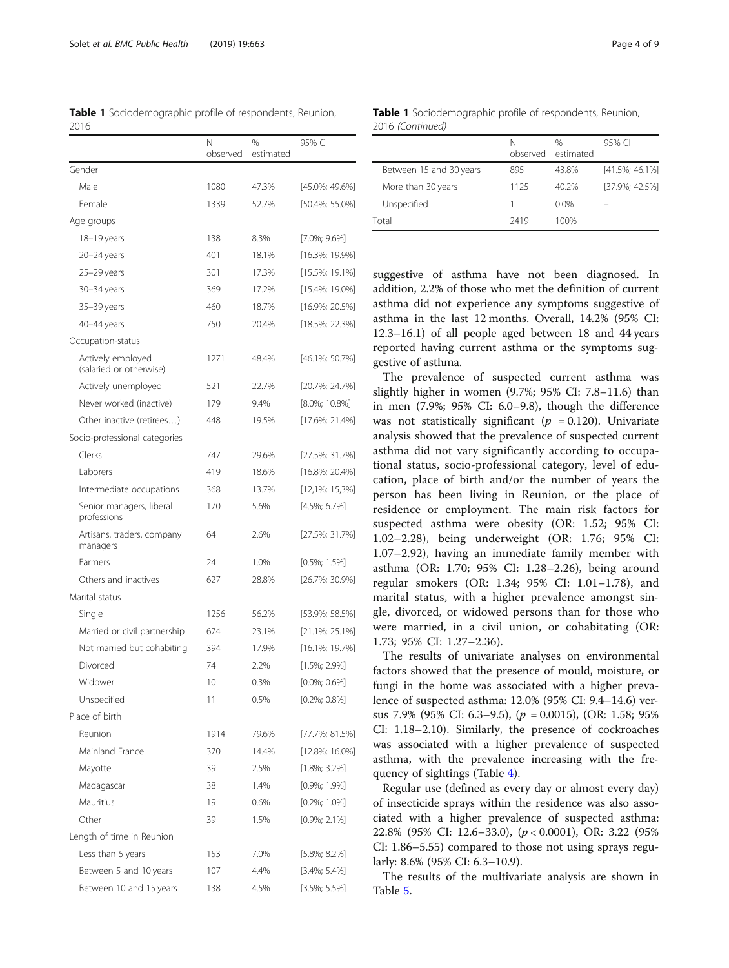<span id="page-3-0"></span>

|      | <b>Table 1</b> Sociodemographic profile of respondents, Reunion, |  |  |
|------|------------------------------------------------------------------|--|--|
| 2016 |                                                                  |  |  |

|                                              | Ν<br>observed | %<br>estimated | 95% CI             |
|----------------------------------------------|---------------|----------------|--------------------|
| Gender                                       |               |                |                    |
| Male                                         | 1080          | 47.3%          | $[45.0\%; 49.6\%]$ |
| Female                                       | 1339          | 52.7%          | $[50.4\%; 55.0\%]$ |
| Age groups                                   |               |                |                    |
| 18-19 years                                  | 138           | 8.3%           | $[7.0\%; 9.6\%]$   |
| 20-24 years                                  | 401           | 18.1%          | [16.3%; 19.9%]     |
| 25–29 years                                  | 301           | 17.3%          | [15.5%; 19.1%]     |
| 30-34 years                                  | 369           | 17.2%          | [15.4%; 19.0%]     |
| 35–39 years                                  | 460           | 18.7%          | $[16.9\%; 20.5\%]$ |
| 40-44 years                                  | 750           | 20.4%          | $[18.5\%; 22.3\%]$ |
| Occupation-status                            |               |                |                    |
| Actively employed<br>(salaried or otherwise) | 1271          | 48.4%          | [46.1%; 50.7%]     |
| Actively unemployed                          | 521           | 22.7%          | [20.7%; 24.7%]     |
| Never worked (inactive)                      | 179           | 9.4%           | [8.0%; 10.8%]      |
| Other inactive (retirees)                    | 448           | 19.5%          | $[17.6\%; 21.4\%]$ |
| Socio-professional categories                |               |                |                    |
| Clerks                                       | 747           | 29.6%          | [27.5%; 31.7%]     |
| Laborers                                     | 419           | 18.6%          | $[16.8\%; 20.4\%]$ |
| Intermediate occupations                     | 368           | 13.7%          | $[12,1\%; 15,3\%]$ |
| Senior managers, liberal<br>professions      | 170           | 5.6%           | $[4.5\%; 6.7\%]$   |
| Artisans, traders, company<br>managers       | 64            | 2.6%           | [27.5%; 31.7%]     |
| Farmers                                      | 24            | 1.0%           | $[0.5\%; 1.5\%]$   |
| Others and inactives                         | 627           | 28.8%          | [26.7%; 30.9%]     |
| Marital status                               |               |                |                    |
| Single                                       | 1256          | 56.2%          | [53.9%; 58.5%]     |
| Married or civil partnership                 | 674           | 23.1%          | $[21.1\%; 25.1\%]$ |
| Not married but cohabiting                   | 394           | 17.9%          | $[16.1\%; 19.7\%]$ |
| Divorced                                     | 74            | 2.2%           | $[1.5\%; 2.9\%]$   |
| Widower                                      | 10            | 0.3%           | $[0.0\%; 0.6\%]$   |
| Unspecified                                  | 11            | 0.5%           | $[0.2\%; 0.8\%]$   |
| Place of birth                               |               |                |                    |
| Reunion                                      | 1914          | 79.6%          | $[77.7\%; 81.5\%]$ |
| Mainland France                              | 370           | 14.4%          | $[12.8\%; 16.0\%]$ |
| Mayotte                                      | 39            | 2.5%           | $[1.8\%; 3.2\%]$   |
| Madagascar                                   | 38            | 1.4%           | $[0.9\%; 1.9\%]$   |
| Mauritius                                    | 19            | 0.6%           | $[0.2\%; 1.0\%]$   |
| Other                                        | 39            | 1.5%           | $[0.9\%; 2.1\%]$   |
| Length of time in Reunion                    |               |                |                    |
| Less than 5 years                            | 153           | 7.0%           | $[5.8\%; 8.2\%]$   |
| Between 5 and 10 years                       | 107           | 4.4%           | $[3.4\%; 5.4\%]$   |
| Between 10 and 15 years                      | 138           | 4.5%           | $[3.5\%; 5.5\%]$   |

Table 1 Sociodemographic profile of respondents, Reunion, 2016 (Continued)

|                         | N<br>observed | $\%$<br>estimated | 95% CI             |
|-------------------------|---------------|-------------------|--------------------|
| Between 15 and 30 years | 895           | 43.8%             | $[41.5\%; 46.1\%]$ |
| More than 30 years      | 1125          | 40.2%             | [37.9%: 42.5%]     |
| Unspecified             |               | $0.0\%$           |                    |
| Total                   | 2419          | 100%              |                    |

suggestive of asthma have not been diagnosed. In addition, 2.2% of those who met the definition of current asthma did not experience any symptoms suggestive of asthma in the last 12 months. Overall, 14.2% (95% CI: 12.3–16.1) of all people aged between 18 and 44 years reported having current asthma or the symptoms suggestive of asthma.

The prevalence of suspected current asthma was slightly higher in women (9.7%; 95% CI: 7.8–11.6) than in men (7.9%; 95% CI: 6.0–9.8), though the difference was not statistically significant ( $p = 0.120$ ). Univariate analysis showed that the prevalence of suspected current asthma did not vary significantly according to occupational status, socio-professional category, level of education, place of birth and/or the number of years the person has been living in Reunion, or the place of residence or employment. The main risk factors for suspected asthma were obesity (OR: 1.52; 95% CI: 1.02–2.28), being underweight (OR: 1.76; 95% CI: 1.07–2.92), having an immediate family member with asthma (OR: 1.70; 95% CI: 1.28–2.26), being around regular smokers (OR: 1.34; 95% CI: 1.01–1.78), and marital status, with a higher prevalence amongst single, divorced, or widowed persons than for those who were married, in a civil union, or cohabitating (OR: 1.73; 95% CI: 1.27–2.36).

The results of univariate analyses on environmental factors showed that the presence of mould, moisture, or fungi in the home was associated with a higher prevalence of suspected asthma: 12.0% (95% CI: 9.4–14.6) versus 7.9% (95% CI: 6.3–9.5), ( $p = 0.0015$ ), (OR: 1.58; 95% CI: 1.18–2.10). Similarly, the presence of cockroaches was associated with a higher prevalence of suspected asthma, with the prevalence increasing with the frequency of sightings (Table [4\)](#page-5-0).

Regular use (defined as every day or almost every day) of insecticide sprays within the residence was also associated with a higher prevalence of suspected asthma: 22.8% (95% CI: 12.6–33.0), (p < 0.0001), OR: 3.22 (95% CI: 1.86–5.55) compared to those not using sprays regularly: 8.6% (95% CI: 6.3–10.9).

The results of the multivariate analysis are shown in Table [5.](#page-5-0)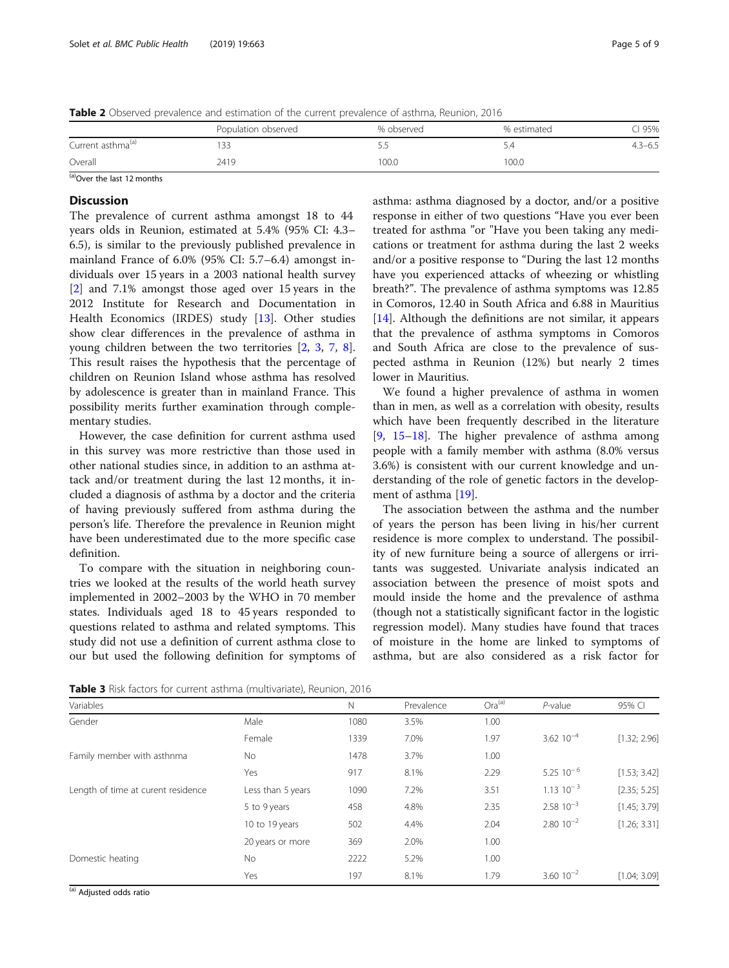<span id="page-4-0"></span>Table 2 Observed prevalence and estimation of the current prevalence of asthma, Reunion, 2016

|                               | Population observed | % observed | % estimated | 95%         |
|-------------------------------|---------------------|------------|-------------|-------------|
| Current asthma <sup>(a)</sup> |                     | - -        | D.4         | $4.3 - 6.5$ |
| Overall                       | 2419                | 00.0       | 100.0       |             |
| $\sim$                        |                     |            |             |             |

 $(a)$ Over the last 12 months

# **Discussion**

The prevalence of current asthma amongst 18 to 44 years olds in Reunion, estimated at 5.4% (95% CI: 4.3– 6.5), is similar to the previously published prevalence in mainland France of 6.0% (95% CI: 5.7–6.4) amongst individuals over 15 years in a 2003 national health survey [[2\]](#page-7-0) and 7.1% amongst those aged over 15 years in the 2012 Institute for Research and Documentation in Health Economics (IRDES) study [[13\]](#page-7-0). Other studies show clear differences in the prevalence of asthma in young children between the two territories [\[2](#page-7-0), [3](#page-7-0), [7,](#page-7-0) [8](#page-7-0)]. This result raises the hypothesis that the percentage of children on Reunion Island whose asthma has resolved by adolescence is greater than in mainland France. This possibility merits further examination through complementary studies.

However, the case definition for current asthma used in this survey was more restrictive than those used in other national studies since, in addition to an asthma attack and/or treatment during the last 12 months, it included a diagnosis of asthma by a doctor and the criteria of having previously suffered from asthma during the person's life. Therefore the prevalence in Reunion might have been underestimated due to the more specific case definition.

To compare with the situation in neighboring countries we looked at the results of the world heath survey implemented in 2002–2003 by the WHO in 70 member states. Individuals aged 18 to 45 years responded to questions related to asthma and related symptoms. This study did not use a definition of current asthma close to our but used the following definition for symptoms of asthma: asthma diagnosed by a doctor, and/or a positive response in either of two questions "Have you ever been treated for asthma "or "Have you been taking any medications or treatment for asthma during the last 2 weeks and/or a positive response to "During the last 12 months have you experienced attacks of wheezing or whistling breath?". The prevalence of asthma symptoms was 12.85 in Comoros, 12.40 in South Africa and 6.88 in Mauritius [[14\]](#page-7-0). Although the definitions are not similar, it appears that the prevalence of asthma symptoms in Comoros and South Africa are close to the prevalence of suspected asthma in Reunion (12%) but nearly 2 times lower in Mauritius.

We found a higher prevalence of asthma in women than in men, as well as a correlation with obesity, results which have been frequently described in the literature  $[9, 15-18]$  $[9, 15-18]$  $[9, 15-18]$  $[9, 15-18]$  $[9, 15-18]$  $[9, 15-18]$ . The higher prevalence of asthma among people with a family member with asthma (8.0% versus 3.6%) is consistent with our current knowledge and understanding of the role of genetic factors in the development of asthma [\[19\]](#page-7-0).

The association between the asthma and the number of years the person has been living in his/her current residence is more complex to understand. The possibility of new furniture being a source of allergens or irritants was suggested. Univariate analysis indicated an association between the presence of moist spots and mould inside the home and the prevalence of asthma (though not a statistically significant factor in the logistic regression model). Many studies have found that traces of moisture in the home are linked to symptoms of asthma, but are also considered as a risk factor for

Table 3 Risk factors for current asthma (multivariate), Reunion, 2016

| Variables                          |                   | $\mathbb N$ | Prevalence | $Ora^{(a)}$ | $P$ -value           | 95% CI       |
|------------------------------------|-------------------|-------------|------------|-------------|----------------------|--------------|
| Gender                             | Male              | 1080        | 3.5%       | 1.00        |                      |              |
|                                    | Female            | 1339        | 7.0%       | 1.97        | $3.62 10^{-4}$       | [1.32; 2.96] |
| Family member with asthnma         | No.               | 1478        | 3.7%       | 1.00        |                      |              |
|                                    | Yes               | 917         | 8.1%       | 2.29        | $5.2510^{-6}$        | [1.53; 3.42] |
| Length of time at curent residence | Less than 5 years | 1090        | 7.2%       | 3.51        | $1.13 \cdot 10^{-3}$ | [2.35; 5.25] |
|                                    | 5 to 9 years      | 458         | 4.8%       | 2.35        | $2.5810^{-3}$        | [1.45; 3.79] |
|                                    | 10 to 19 years    | 502         | 4.4%       | 2.04        | $2.80 \cdot 10^{-2}$ | [1.26; 3.31] |
|                                    | 20 years or more  | 369         | 2.0%       | 1.00        |                      |              |
| Domestic heating                   | <b>No</b>         | 2222        | 5.2%       | 1.00        |                      |              |
|                                    | Yes               | 197         | 8.1%       | 1.79        | $3.60$ $10^{-2}$     | [1.04; 3.09] |

(a) Adjusted odds ratio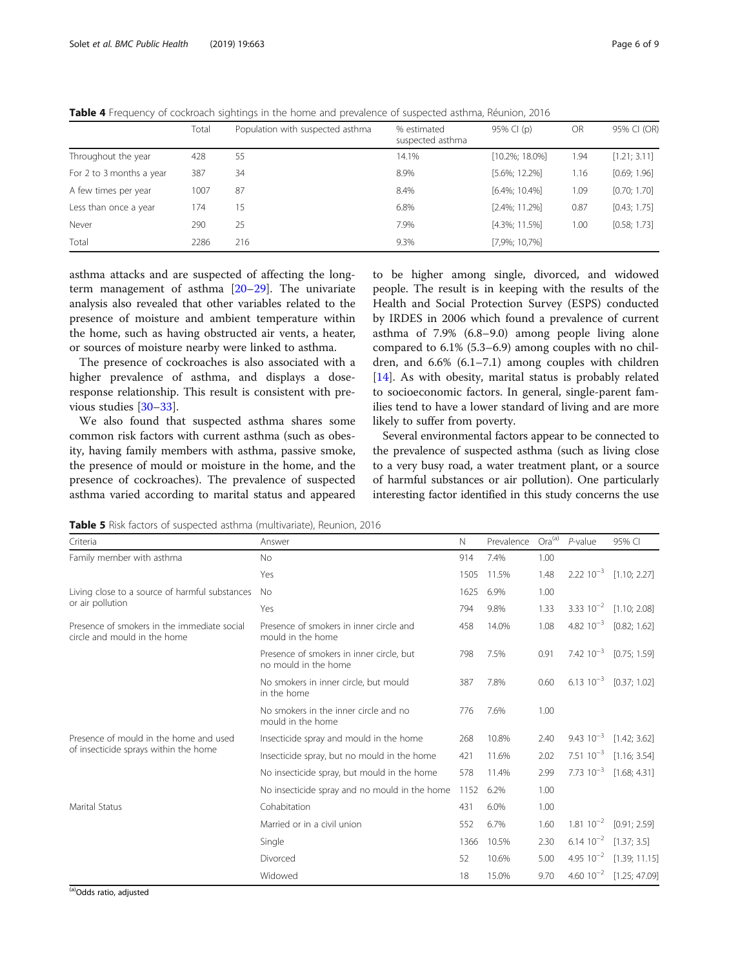<span id="page-5-0"></span>Table 4 Frequency of cockroach sightings in the home and prevalence of suspected asthma, Réunion, 2016

|                          | Total | Population with suspected asthma | % estimated      | 95% CI (p)         | OR   | 95% CI (OR)  |
|--------------------------|-------|----------------------------------|------------------|--------------------|------|--------------|
|                          |       |                                  | suspected asthma |                    |      |              |
| Throughout the year      | 428   | 55                               | 14.1%            | $[10.2\%; 18.0\%]$ | 1.94 | [1.21; 3.11] |
| For 2 to 3 months a year | 387   | 34                               | 8.9%             | $[5.6\%; 12.2\%]$  | 1.16 | [0.69; 1.96] |
| A few times per year     | 1007  | 87                               | 8.4%             | $[6.4\%; 10.4\%]$  | 1.09 | [0.70; 1.70] |
| Less than once a year    | 174   | 15                               | 6.8%             | $[2.4\%; 11.2\%]$  | 0.87 | [0.43; 1.75] |
| Never                    | 290   | 25                               | 7.9%             | $[4.3\%; 11.5\%]$  | 1.00 | [0.58; 1.73] |
| Total                    | 2286  | 216                              | 9.3%             | $[7,9\%; 10,7\%]$  |      |              |

asthma attacks and are suspected of affecting the longterm management of asthma [[20](#page-7-0)–[29](#page-8-0)]. The univariate analysis also revealed that other variables related to the presence of moisture and ambient temperature within the home, such as having obstructed air vents, a heater, or sources of moisture nearby were linked to asthma.

The presence of cockroaches is also associated with a higher prevalence of asthma, and displays a doseresponse relationship. This result is consistent with previous studies [\[30](#page-8-0)–[33\]](#page-8-0).

We also found that suspected asthma shares some common risk factors with current asthma (such as obesity, having family members with asthma, passive smoke, the presence of mould or moisture in the home, and the presence of cockroaches). The prevalence of suspected asthma varied according to marital status and appeared

to be higher among single, divorced, and widowed people. The result is in keeping with the results of the Health and Social Protection Survey (ESPS) conducted by IRDES in 2006 which found a prevalence of current asthma of 7.9% (6.8–9.0) among people living alone compared to 6.1% (5.3–6.9) among couples with no children, and 6.6% (6.1–7.1) among couples with children [[14\]](#page-7-0). As with obesity, marital status is probably related to socioeconomic factors. In general, single-parent families tend to have a lower standard of living and are more likely to suffer from poverty.

Several environmental factors appear to be connected to the prevalence of suspected asthma (such as living close to a very busy road, a water treatment plant, or a source of harmful substances or air pollution). One particularly interesting factor identified in this study concerns the use

Table 5 Risk factors of suspected asthma (multivariate), Reunion, 2016

| Criteria                                                                    | Answer                                                           | $\mathbb N$ | Prevalence | $Ora^{(a)}$ | $P$ -value           | 95% CI                             |
|-----------------------------------------------------------------------------|------------------------------------------------------------------|-------------|------------|-------------|----------------------|------------------------------------|
| Family member with asthma                                                   | <b>No</b>                                                        | 914         | 7.4%       | 1.00        |                      |                                    |
|                                                                             | Yes                                                              | 1505        | 11.5%      | 1.48        |                      | $2.22 \times 10^{-3}$ [1.10; 2.27] |
| Living close to a source of harmful substances                              | <b>No</b>                                                        | 1625        | 6.9%       | 1.00        |                      |                                    |
| or air pollution                                                            | Yes                                                              | 794         | 9.8%       | 1.33        |                      | 3.33 $10^{-2}$ [1.10; 2.08]        |
| Presence of smokers in the immediate social<br>circle and mould in the home | Presence of smokers in inner circle and<br>mould in the home     | 458         | 14.0%      | 1.08        |                      | 4.82 $10^{-3}$ [0.82; 1.62]        |
|                                                                             | Presence of smokers in inner circle, but<br>no mould in the home | 798         | 7.5%       | 0.91        |                      | 7.42 $10^{-3}$ [0.75; 1.59]        |
|                                                                             | No smokers in inner circle, but mould<br>in the home             | 387         | 7.8%       | 0.60        |                      | 6.13 $10^{-3}$ [0.37; 1.02]        |
|                                                                             | No smokers in the inner circle and no<br>mould in the home       | 776         | 7.6%       | 1.00        |                      |                                    |
| Presence of mould in the home and used                                      | Insecticide spray and mould in the home                          | 268         | 10.8%      | 2.40        | $9.43 \cdot 10^{-3}$ | [1.42; 3.62]                       |
| of insecticide sprays within the home                                       | Insecticide spray, but no mould in the home                      | 421         | 11.6%      | 2.02        |                      | 7.51 $10^{-3}$ [1.16; 3.54]        |
|                                                                             | No insecticide spray, but mould in the home                      | 578         | 11.4%      | 2.99        |                      | 7.73 $10^{-3}$ [1.68; 4.31]        |
|                                                                             | No insecticide spray and no mould in the home                    | 1152        | 6.2%       | 1.00        |                      |                                    |
| <b>Marital Status</b>                                                       | Cohabitation                                                     | 431         | 6.0%       | 1.00        |                      |                                    |
|                                                                             | Married or in a civil union                                      | 552         | 6.7%       | 1.60        | $1.81 \ 10^{-2}$     | [0.91; 2.59]                       |
|                                                                             | Single                                                           | 1366        | 10.5%      | 2.30        |                      | $6.14 \ 10^{-2} \quad [1.37; 3.5]$ |
|                                                                             | Divorced                                                         | 52          | 10.6%      | 5.00        |                      | 4.95 $10^{-2}$ [1.39; 11.15]       |
|                                                                             | Widowed                                                          | 18          | 15.0%      | 9.70        |                      | 4.60 $10^{-2}$ [1.25; 47.09]       |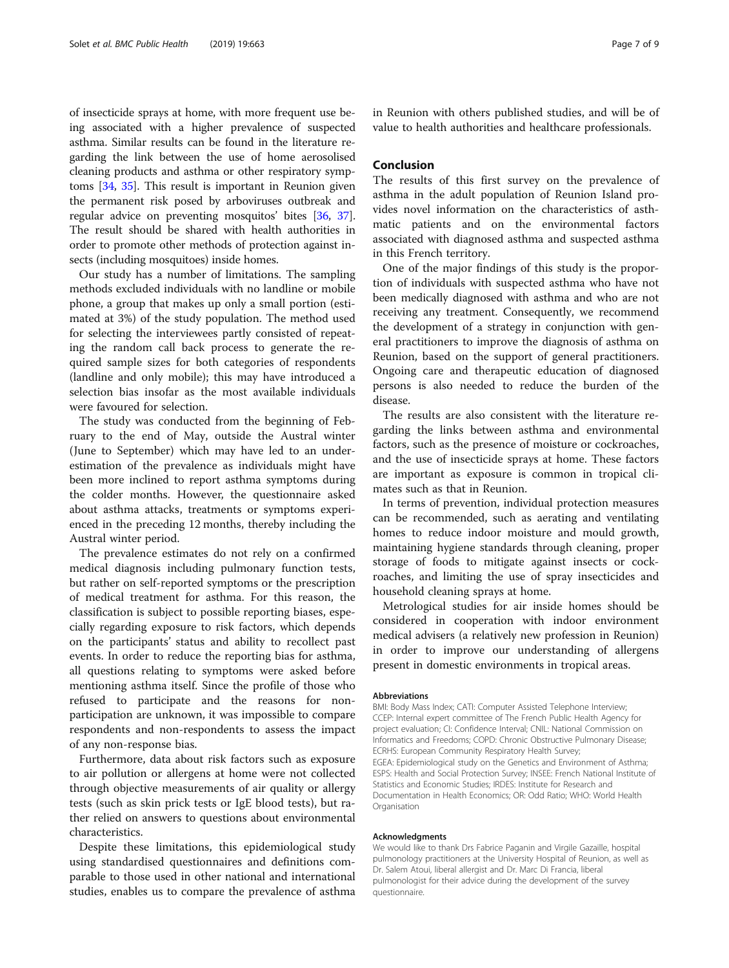of insecticide sprays at home, with more frequent use being associated with a higher prevalence of suspected asthma. Similar results can be found in the literature regarding the link between the use of home aerosolised cleaning products and asthma or other respiratory symptoms [[34](#page-8-0), [35\]](#page-8-0). This result is important in Reunion given the permanent risk posed by arboviruses outbreak and regular advice on preventing mosquitos' bites [[36](#page-8-0), [37](#page-8-0)]. The result should be shared with health authorities in order to promote other methods of protection against insects (including mosquitoes) inside homes.

Our study has a number of limitations. The sampling methods excluded individuals with no landline or mobile phone, a group that makes up only a small portion (estimated at 3%) of the study population. The method used for selecting the interviewees partly consisted of repeating the random call back process to generate the required sample sizes for both categories of respondents (landline and only mobile); this may have introduced a selection bias insofar as the most available individuals were favoured for selection.

The study was conducted from the beginning of February to the end of May, outside the Austral winter (June to September) which may have led to an underestimation of the prevalence as individuals might have been more inclined to report asthma symptoms during the colder months. However, the questionnaire asked about asthma attacks, treatments or symptoms experienced in the preceding 12 months, thereby including the Austral winter period.

The prevalence estimates do not rely on a confirmed medical diagnosis including pulmonary function tests, but rather on self-reported symptoms or the prescription of medical treatment for asthma. For this reason, the classification is subject to possible reporting biases, especially regarding exposure to risk factors, which depends on the participants' status and ability to recollect past events. In order to reduce the reporting bias for asthma, all questions relating to symptoms were asked before mentioning asthma itself. Since the profile of those who refused to participate and the reasons for nonparticipation are unknown, it was impossible to compare respondents and non-respondents to assess the impact of any non-response bias.

Furthermore, data about risk factors such as exposure to air pollution or allergens at home were not collected through objective measurements of air quality or allergy tests (such as skin prick tests or IgE blood tests), but rather relied on answers to questions about environmental characteristics.

Despite these limitations, this epidemiological study using standardised questionnaires and definitions comparable to those used in other national and international studies, enables us to compare the prevalence of asthma in Reunion with others published studies, and will be of value to health authorities and healthcare professionals.

# Conclusion

The results of this first survey on the prevalence of asthma in the adult population of Reunion Island provides novel information on the characteristics of asthmatic patients and on the environmental factors associated with diagnosed asthma and suspected asthma in this French territory.

One of the major findings of this study is the proportion of individuals with suspected asthma who have not been medically diagnosed with asthma and who are not receiving any treatment. Consequently, we recommend the development of a strategy in conjunction with general practitioners to improve the diagnosis of asthma on Reunion, based on the support of general practitioners. Ongoing care and therapeutic education of diagnosed persons is also needed to reduce the burden of the disease.

The results are also consistent with the literature regarding the links between asthma and environmental factors, such as the presence of moisture or cockroaches, and the use of insecticide sprays at home. These factors are important as exposure is common in tropical climates such as that in Reunion.

In terms of prevention, individual protection measures can be recommended, such as aerating and ventilating homes to reduce indoor moisture and mould growth, maintaining hygiene standards through cleaning, proper storage of foods to mitigate against insects or cockroaches, and limiting the use of spray insecticides and household cleaning sprays at home.

Metrological studies for air inside homes should be considered in cooperation with indoor environment medical advisers (a relatively new profession in Reunion) in order to improve our understanding of allergens present in domestic environments in tropical areas.

#### Abbreviations

BMI: Body Mass Index; CATI: Computer Assisted Telephone Interview; CCEP: Internal expert committee of The French Public Health Agency for project evaluation; CI: Confidence Interval; CNIL: National Commission on Informatics and Freedoms; COPD: Chronic Obstructive Pulmonary Disease; ECRHS: European Community Respiratory Health Survey; EGEA: Epidemiological study on the Genetics and Environment of Asthma; ESPS: Health and Social Protection Survey; INSEE: French National Institute of Statistics and Economic Studies; IRDES: Institute for Research and Documentation in Health Economics; OR: Odd Ratio; WHO: World Health **Organisation** 

#### Acknowledgments

We would like to thank Drs Fabrice Paganin and Virgile Gazaille, hospital pulmonology practitioners at the University Hospital of Reunion, as well as Dr. Salem Atoui, liberal allergist and Dr. Marc Di Francia, liberal pulmonologist for their advice during the development of the survey questionnaire.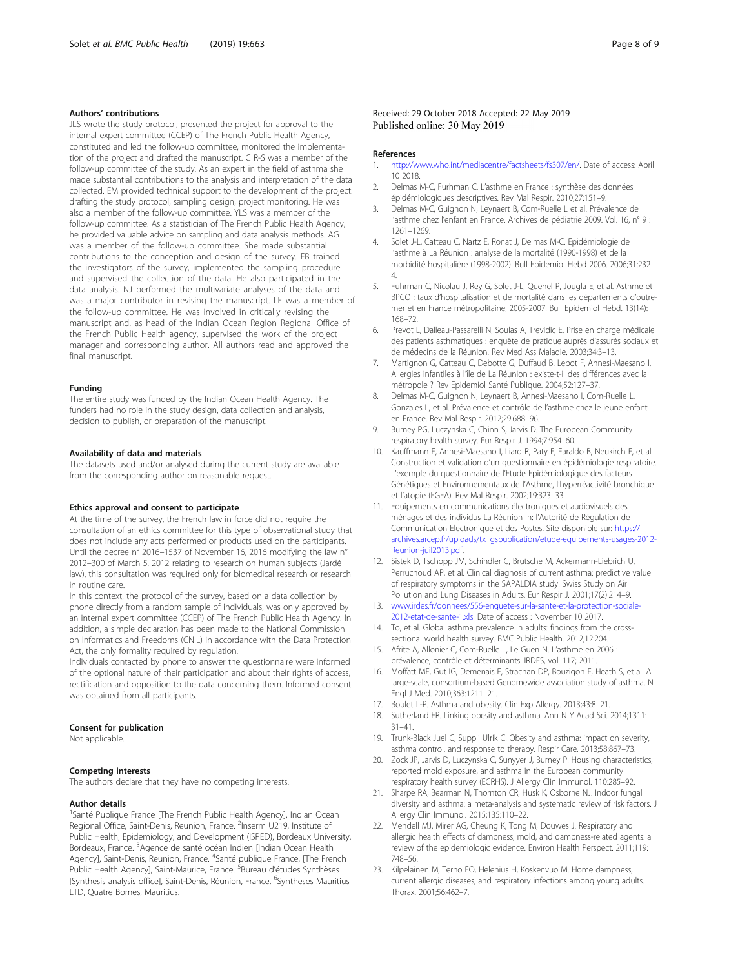#### <span id="page-7-0"></span>Authors' contributions

JLS wrote the study protocol, presented the project for approval to the internal expert committee (CCEP) of The French Public Health Agency, constituted and led the follow-up committee, monitored the implementation of the project and drafted the manuscript. C R-S was a member of the follow-up committee of the study. As an expert in the field of asthma she made substantial contributions to the analysis and interpretation of the data collected. EM provided technical support to the development of the project: drafting the study protocol, sampling design, project monitoring. He was also a member of the follow-up committee. YLS was a member of the follow-up committee. As a statistician of The French Public Health Agency, he provided valuable advice on sampling and data analysis methods. AG was a member of the follow-up committee. She made substantial contributions to the conception and design of the survey. EB trained the investigators of the survey, implemented the sampling procedure and supervised the collection of the data. He also participated in the data analysis. NJ performed the multivariate analyses of the data and was a major contributor in revising the manuscript. LF was a member of the follow-up committee. He was involved in critically revising the manuscript and, as head of the Indian Ocean Region Regional Office of the French Public Health agency, supervised the work of the project manager and corresponding author. All authors read and approved the final manuscript.

#### Funding

The entire study was funded by the Indian Ocean Health Agency. The funders had no role in the study design, data collection and analysis, decision to publish, or preparation of the manuscript.

## Availability of data and materials

The datasets used and/or analysed during the current study are available from the corresponding author on reasonable request.

#### Ethics approval and consent to participate

At the time of the survey, the French law in force did not require the consultation of an ethics committee for this type of observational study that does not include any acts performed or products used on the participants. Until the decree n° 2016–1537 of November 16, 2016 modifying the law n° 2012–300 of March 5, 2012 relating to research on human subjects (Jardé law), this consultation was required only for biomedical research or research in routine care.

In this context, the protocol of the survey, based on a data collection by phone directly from a random sample of individuals, was only approved by an internal expert committee (CCEP) of The French Public Health Agency. In addition, a simple declaration has been made to the National Commission on Informatics and Freedoms (CNIL) in accordance with the Data Protection Act, the only formality required by regulation.

Individuals contacted by phone to answer the questionnaire were informed of the optional nature of their participation and about their rights of access, rectification and opposition to the data concerning them. Informed consent was obtained from all participants.

#### Consent for publication

Not applicable.

#### Competing interests

The authors declare that they have no competing interests.

#### Author details

<sup>1</sup>Santé Publique France [The French Public Health Agency], Indian Ocean Regional Office, Saint-Denis, Reunion, France. <sup>2</sup>Inserm U219, Institute of Public Health, Epidemiology, and Development (ISPED), Bordeaux University, Bordeaux, France. <sup>3</sup>Agence de santé océan Indien [Indian Ocean Health Agency], Saint-Denis, Reunion, France. <sup>4</sup>Santé publique France, [The French Public Health Agency], Saint-Maurice, France. <sup>5</sup>Bureau d'études Synthèses [Synthesis analysis office], Saint-Denis, Réunion, France. <sup>6</sup>Syntheses Mauritius LTD, Quatre Bornes, Mauritius.

#### Received: 29 October 2018 Accepted: 22 May 2019 Published online: 30 May 2019

#### References

- 1. [http://www.who.int/mediacentre/factsheets/fs307/en/.](http://www.who.int/mediacentre/factsheets/fs307/en/) Date of access: April 10 2018.
- 2. Delmas M-C, Furhman C. L'asthme en France : synthèse des données épidémiologiques descriptives. Rev Mal Respir. 2010;27:151–9.
- 3. Delmas M-C, Guignon N, Leynaert B, Com-Ruelle L et al. Prévalence de l'asthme chez l'enfant en France. Archives de pédiatrie 2009. Vol. 16, n° 9 : 1261–1269.
- 4. Solet J-L, Catteau C, Nartz E, Ronat J, Delmas M-C. Epidémiologie de l'asthme à La Réunion : analyse de la mortalité (1990-1998) et de la morbidité hospitalière (1998-2002). Bull Epidemiol Hebd 2006. 2006;31:232– 4.
- 5. Fuhrman C, Nicolau J, Rey G, Solet J-L, Quenel P, Jougla E, et al. Asthme et BPCO : taux d'hospitalisation et de mortalité dans les départements d'outremer et en France métropolitaine, 2005-2007. Bull Epidemiol Hebd. 13(14): 168–72.
- 6. Prevot L, Dalleau-Passarelli N, Soulas A, Trevidic E. Prise en charge médicale des patients asthmatiques : enquête de pratique auprès d'assurés sociaux et de médecins de la Réunion. Rev Med Ass Maladie. 2003;34:3–13.
- 7. Martignon G, Catteau C, Debotte G, Duffaud B, Lebot F, Annesi-Maesano I. Allergies infantiles à l'île de La Réunion : existe-t-il des différences avec la métropole ? Rev Epidemiol Santé Publique. 2004;52:127–37.
- 8. Delmas M-C, Guignon N, Leynaert B, Annesi-Maesano I, Com-Ruelle L, Gonzales L, et al. Prévalence et contrôle de l'asthme chez le jeune enfant en France. Rev Mal Respir. 2012;29:688–96.
- 9. Burney PG, Luczynska C, Chinn S, Jarvis D. The European Community respiratory health survey. Eur Respir J. 1994;7:954–60.
- 10. Kauffmann F, Annesi-Maesano I, Liard R, Paty E, Faraldo B, Neukirch F, et al. Construction et validation d'un questionnaire en épidémiologie respiratoire. L'exemple du questionnaire de l'Etude Epidémiologique des facteurs Génétiques et Environnementaux de l'Asthme, l'hyperréactivité bronchique et l'atopie (EGEA). Rev Mal Respir. 2002;19:323–33.
- 11. Equipements en communications électroniques et audiovisuels des ménages et des individus La Réunion In: l'Autorité de Régulation de Communication Electronique et des Postes. Site disponible sur: [https://](https://archives.arcep.fr/uploads/tx_gspublication/etude-equipements-usages-2012-Reunion-juil2013.pdf) [archives.arcep.fr/uploads/tx\\_gspublication/etude-equipements-usages-2012-](https://archives.arcep.fr/uploads/tx_gspublication/etude-equipements-usages-2012-Reunion-juil2013.pdf) [Reunion-juil2013.pdf.](https://archives.arcep.fr/uploads/tx_gspublication/etude-equipements-usages-2012-Reunion-juil2013.pdf)
- 12. Sistek D, Tschopp JM, Schindler C, Brutsche M, Ackermann-Liebrich U, Perruchoud AP, et al. Clinical diagnosis of current asthma: predictive value of respiratory symptoms in the SAPALDIA study. Swiss Study on Air Pollution and Lung Diseases in Adults. Eur Respir J. 2001;17(2):214–9.
- 13. [www.irdes.fr/donnees/556-enquete-sur-la-sante-et-la-protection-sociale-](http://www.irdes.fr/donnees/556-enquete-sur-la-sante-et-la-protection-sociale-2012-etat-de-sante-1.xls)[2012-etat-de-sante-1.xls.](http://www.irdes.fr/donnees/556-enquete-sur-la-sante-et-la-protection-sociale-2012-etat-de-sante-1.xls) Date of access : November 10 2017.
- 14. To, et al. Global asthma prevalence in adults: findings from the crosssectional world health survey. BMC Public Health. 2012;12:204.
- 15. Afrite A, Allonier C, Com-Ruelle L, Le Guen N. L'asthme en 2006 : prévalence, contrôle et déterminants. IRDES, vol. 117; 2011.
- 16. Moffatt MF, Gut IG, Demenais F, Strachan DP, Bouzigon E, Heath S, et al. A large-scale, consortium-based Genomewide association study of asthma. N Engl J Med. 2010;363:1211–21.
- 17. Boulet L-P. Asthma and obesity. Clin Exp Allergy. 2013;43:8–21.<br>18. Sutherland FR. Linking obesity and asthma. Ann N. Y. Acad Sci
- Sutherland ER. Linking obesity and asthma. Ann N Y Acad Sci. 2014;1311: 31–41.
- 19. Trunk-Black Juel C, Suppli Ulrik C. Obesity and asthma: impact on severity, asthma control, and response to therapy. Respir Care. 2013;58:867–73.
- 20. Zock JP, Jarvis D, Luczynska C, Sunyyer J, Burney P. Housing characteristics, reported mold exposure, and asthma in the European community respiratory health survey (ECRHS). J Allergy Clin Immunol. 110:285–92.
- 21. Sharpe RA, Bearman N, Thornton CR, Husk K, Osborne NJ. Indoor fungal diversity and asthma: a meta-analysis and systematic review of risk factors. J Allergy Clin Immunol. 2015;135:110–22.
- 22. Mendell MJ, Mirer AG, Cheung K, Tong M, Douwes J. Respiratory and allergic health effects of dampness, mold, and dampness-related agents: a review of the epidemiologic evidence. Environ Health Perspect. 2011;119: 748–56.
- 23. Kilpelainen M, Terho EO, Helenius H, Koskenvuo M. Home dampness, current allergic diseases, and respiratory infections among young adults. Thorax. 2001;56:462–7.